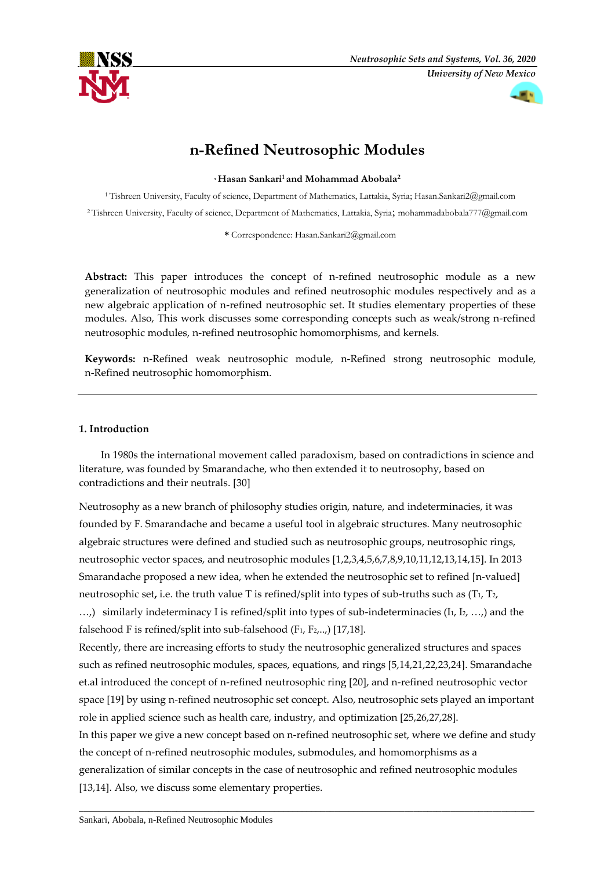



# **n-Refined Neutrosophic Modules**

**, Hasan Sankari<sup>1</sup> and Mohammad Abobala<sup>2</sup>**

<sup>1</sup> Tishreen University, Faculty of science, Department of Mathematics, Lattakia, Syria[; Hasan.Sankari2@gmail.com](mailto:Hasan.Sankari2@gmail.com) <sup>2</sup> Tishreen University, Faculty of science, Department of Mathematics, Lattakia, Syria; [mohammadabobala777@gmail.com](mailto:mohammadabobala777@gmail.com)

**\*** Correspondence[: Hasan.Sankari2@gmail.com](mailto:Hasan.Sankari2@gmail.com)

**Abstract:** This paper introduces the concept of n-refined neutrosophic module as a new generalization of neutrosophic modules and refined neutrosophic modules respectively and as a new algebraic application of n-refined neutrosophic set. It studies elementary properties of these modules. Also, This work discusses some corresponding concepts such as weak/strong n-refined neutrosophic modules, n-refined neutrosophic homomorphisms, and kernels.

**Keywords:** n-Refined weak neutrosophic module, n-Refined strong neutrosophic module, n-Refined neutrosophic homomorphism.

# **1. Introduction**

In 1980s the international movement called paradoxism, based on contradictions in science and literature, was founded by Smarandache, who then extended it to neutrosophy, based on contradictions and their neutrals. [30]

Neutrosophy as a new branch of philosophy studies origin, nature, and indeterminacies, it was founded by F. Smarandache and became a useful tool in algebraic structures. Many neutrosophic algebraic structures were defined and studied such as neutrosophic groups, neutrosophic rings, neutrosophic vector spaces, and neutrosophic modules [1,2,3,4,5,6,7,8,9,10,11,12,13,14,15]. In 2013 Smarandache proposed a new idea, when he extended the neutrosophic set to refined [n-valued] neutrosophic set**,** i.e. the truth value T is refined/split into types of sub-truths such as (T1, T2,  $...,$ ) similarly indeterminacy I is refined/split into types of sub-indeterminacies ( $I_1, I_2, ...,$ ) and the falsehood F is refined/split into sub-falsehood  $(F_1, F_2, ...)$  [17,18].

Recently, there are increasing efforts to study the neutrosophic generalized structures and spaces such as refined neutrosophic modules, spaces, equations, and rings [5,14,21,22,23,24]. Smarandache et.al introduced the concept of n-refined neutrosophic ring [20], and n-refined neutrosophic vector space [19] by using n-refined neutrosophic set concept. Also, neutrosophic sets played an important role in applied science such as health care, industry, and optimization [25,26,27,28]. In this paper we give a new concept based on n-refined neutrosophic set, where we define and study

the concept of n-refined neutrosophic modules, submodules, and homomorphisms as a generalization of similar concepts in the case of neutrosophic and refined neutrosophic modules [13,14]. Also, we discuss some elementary properties.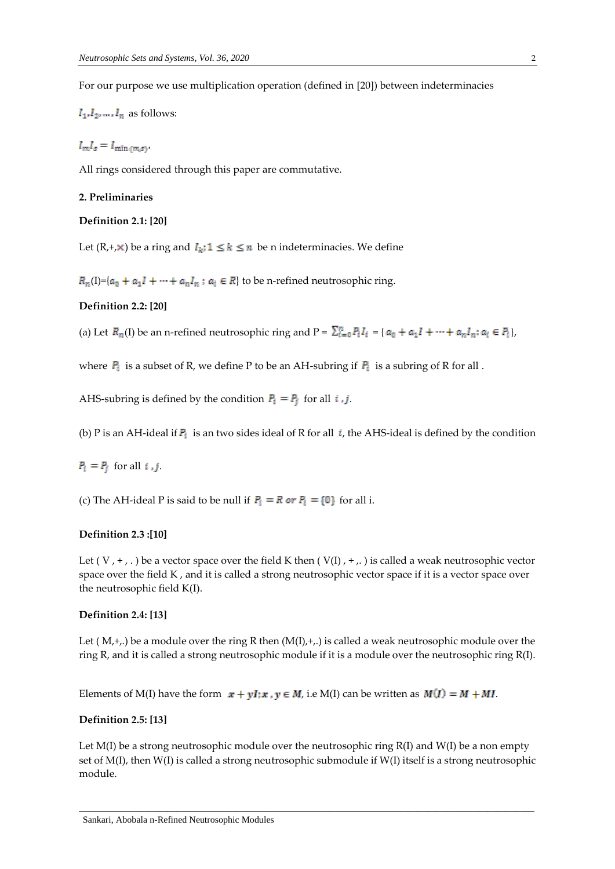For our purpose we use multiplication operation (defined in [20]) between indeterminacies

 $I_1, I_2, \ldots, I_n$  as follows:

 $I_m I_s = I_{\min(m,s)}.$ 

All rings considered through this paper are commutative.

#### **2. Preliminaries**

### **Definition 2.1: [20]**

Let  $(R, +, \times)$  be a ring and  $I_k$ ;  $1 \le k \le n$  be n indeterminacies. We define

 $R_n(I)=[a_0 + a_1 I + \cdots + a_n I_n : a_i \in R]$  to be n-refined neutrosophic ring.

#### **Definition 2.2: [20]**

(a) Let  $R_n(I)$  be an n-refined neutrosophic ring and  $P = \sum_{i=0}^n P_i I_i = \{a_0 + a_1 I + \dots + a_n I_n : a_i \in P_i\}$ 

where  $P_i$  is a subset of R, we define P to be an AH-subring if  $P_i$  is a subring of R for all .

AHS-subring is defined by the condition  $P_i = P_j$  for all  $i, j$ .

(b) P is an AH-ideal if  $P_i$  is an two sides ideal of R for all *i*, the AHS-ideal is defined by the condition

 $P_i = P_i$  for all *i*, *j*.

(c) The AH-ideal P is said to be null if  $P_i = R$  or  $P_i = \{0\}$  for all i.

### **Definition 2.3 :[10]**

Let (V, +, .) be a vector space over the field K then (V(I), +,.) is called a weak neutrosophic vector space over the field K , and it is called a strong neutrosophic vector space if it is a vector space over the neutrosophic field K(I).

### **Definition 2.4: [13]**

Let  $(M, +,.)$  be a module over the ring R then  $(M(1), +,.)$  is called a weak neutrosophic module over the ring R, and it is called a strong neutrosophic module if it is a module over the neutrosophic ring R(I).

Elements of M(I) have the form  $x + yI$ ;  $x, y \in M$ , i.e M(I) can be written as  $M(I) = M + MI$ .

### **Definition 2.5: [13]**

Let M(I) be a strong neutrosophic module over the neutrosophic ring R(I) and W(I) be a non empty set of M(I), then W(I) is called a strong neutrosophic submodule if W(I) itself is a strong neutrosophic module.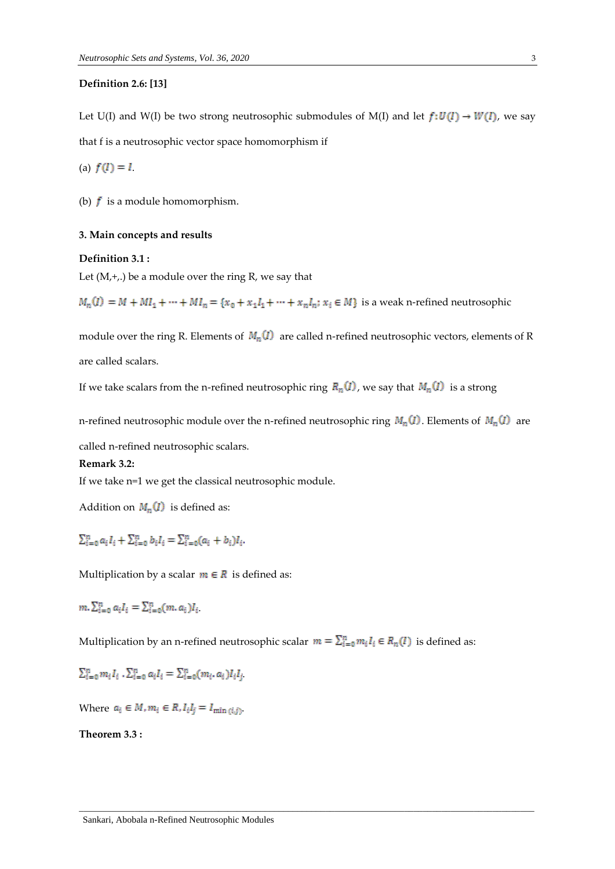### **Definition 2.6: [13]**

Let U(I) and W(I) be two strong neutrosophic submodules of M(I) and let  $f: U(I) \to W(I)$ , we say that f is a neutrosophic vector space homomorphism if

(a)  $f(I) = I$ .

(b)  $f$  is a module homomorphism.

### **3. Main concepts and results**

#### **Definition 3.1 :**

Let  $(M,+)$ , be a module over the ring R, we say that

 $M_n(I) = M + MI_1 + \cdots + MI_n = \{x_0 + x_1I_1 + \cdots + x_nI_n : x_i \in M\}$  is a weak n-refined neutrosophic

module over the ring R. Elements of  $M_n(I)$  are called n-refined neutrosophic vectors, elements of R are called scalars.

If we take scalars from the n-refined neutrosophic ring  $R_n(I)$ , we say that  $M_n(I)$  is a strong

n-refined neutrosophic module over the n-refined neutrosophic ring  $M_n(I)$ . Elements of  $M_n(I)$  are

called n-refined neutrosophic scalars.

#### **Remark 3.2:**

If we take n=1 we get the classical neutrosophic module.

Addition on  $M_n(I)$  is defined as:

 $\sum_{i=0}^{n} a_i I_i + \sum_{i=0}^{n} b_i I_i = \sum_{i=0}^{n} (a_i + b_i) I_i.$ 

Multiplication by a scalar  $m \in R$  is defined as:

 $m.\sum_{i=0}^{n} a_i I_i = \sum_{i=0}^{n} (m.a_i)I_i$ 

Multiplication by an n-refined neutrosophic scalar  $m = \sum_{i=0}^{n} m_i I_i \in R_n(I)$  is defined as:

 $\overline{a}$  , and the set of the set of the set of the set of the set of the set of the set of the set of the set of the set of the set of the set of the set of the set of the set of the set of the set of the set of the set

 $\sum_{i=0}^{n} m_i I_i \cdot \sum_{i=0}^{n} a_i I_i = \sum_{i=0}^{n} (m_i, a_i) I_i I_i$ 

Where  $a_i \in M$ ,  $m_i \in R$ ,  $I_i I_j = I_{\min(i,j)}$ 

**Theorem 3.3 :**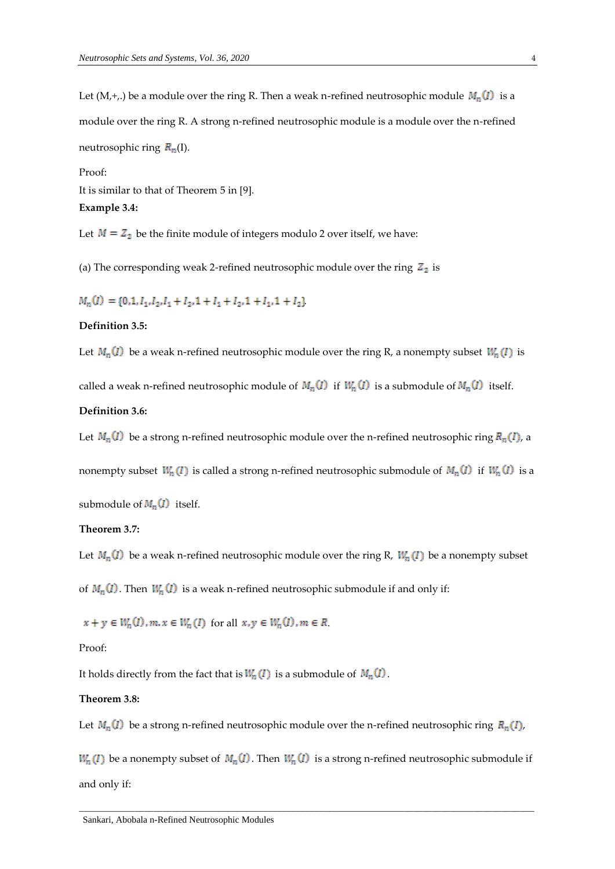Let (M,+,.) be a module over the ring R. Then a weak n-refined neutrosophic module  $M_n(I)$  is a module over the ring R. A strong n-refined neutrosophic module is a module over the n-refined neutrosophic ring  $R_n(I)$ .

Proof: It is similar to that of Theorem 5 in [9]. **Example 3.4:**

Let  $M = Z<sub>2</sub>$  be the finite module of integers modulo 2 over itself, we have:

(a) The corresponding weak 2-refined neutrosophic module over the ring  $Z_2$  is

 $M_n(I) = \{0, 1, I_1, I_2, I_1 + I_2, 1 + I_1 + I_2, 1 + I_1, 1 + I_2\}$ 

## **Definition 3.5:**

Let  $M_n(I)$  be a weak n-refined neutrosophic module over the ring R, a nonempty subset  $W_n(I)$  is

called a weak n-refined neutrosophic module of  $M_n(I)$  if  $W_n(I)$  is a submodule of  $M_n(I)$  itself.

#### **Definition 3.6:**

Let  $M_n(I)$  be a strong n-refined neutrosophic module over the n-refined neutrosophic ring  $R_n(I)$ , a

nonempty subset  $W_n(I)$  is called a strong n-refined neutrosophic submodule of  $M_n(I)$  if  $W_n(I)$  is a

submodule of  $M_n(I)$  itself.

### **Theorem 3.7:**

Let  $M_n(I)$  be a weak n-refined neutrosophic module over the ring R,  $W_n(I)$  be a nonempty subset

of  $M_n(I)$ . Then  $W_n(I)$  is a weak n-refined neutrosophic submodule if and only if:

 $x + y \in W_n(I), m, x \in W_n(I)$  for all  $x, y \in W_n(I), m \in R$ .

Proof:

It holds directly from the fact that is  $W_n(I)$  is a submodule of  $M_n(I)$ .

### **Theorem 3.8:**

Let  $M_n(I)$  be a strong n-refined neutrosophic module over the n-refined neutrosophic ring  $R_n(I)$ ,

 $W_n(I)$  be a nonempty subset of  $M_n(I)$ . Then  $W_n(I)$  is a strong n-refined neutrosophic submodule if and only if: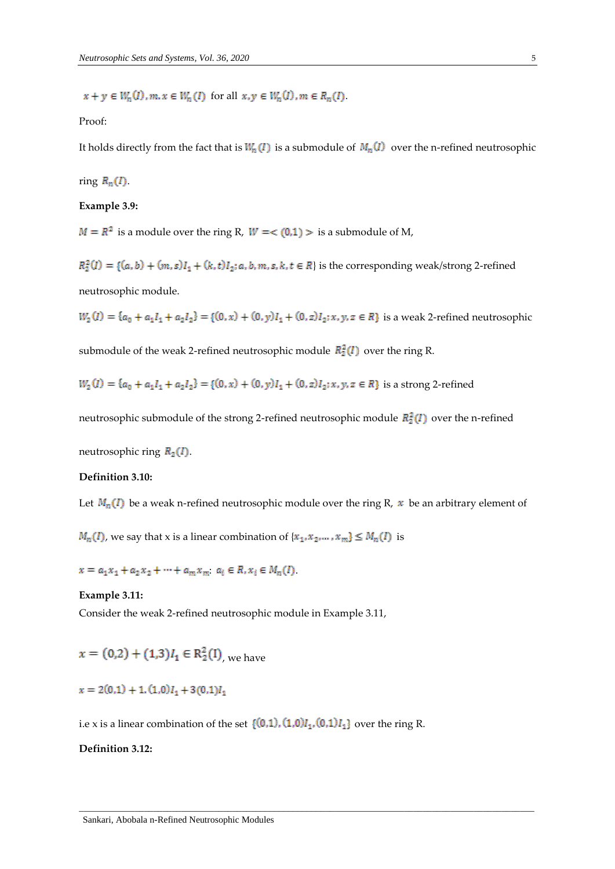$x + y \in W_n(I), m, x \in W_n(I)$  for all  $x, y \in W_n(I), m \in R_n(I)$ .

#### Proof:

It holds directly from the fact that is  $W_n(I)$  is a submodule of  $M_n(I)$  over the n-refined neutrosophic

# ring  $R_n(I)$ .

### **Example 3.9:**

 $M = R<sup>2</sup>$  is a module over the ring R,  $W = < (0,1) >$  is a submodule of M,

 $R_2^2(I) = \{(a,b) + (m,s)I_1 + (k,t)I_2; a, b, m, s, k, t \in R\}$  is the corresponding weak/strong 2-refined neutrosophic module.

 $W_2(I) = \{a_0 + a_1I_1 + a_2I_2\} = \{(0, x) + (0, y)I_1 + (0, z)I_2; x, y, z \in R\}$  is a weak 2-refined neutrosophic

submodule of the weak 2-refined neutrosophic module  $R_2^2(I)$  over the ring R.

$$
W_2(I) = \{a_0 + a_1I_1 + a_2I_2\} = \{(0, x) + (0, y)I_1 + (0, z)I_2; x, y, z \in R\}
$$
 is a strong 2-refined

neutrosophic submodule of the strong 2-refined neutrosophic module  $R_2^2(I)$  over the n-refined

neutrosophic ring  $R_2(I)$ .

#### **Definition 3.10:**

Let  $M_n(I)$  be a weak n-refined neutrosophic module over the ring R, x be an arbitrary element of

 $\overline{a}$  , and the set of the set of the set of the set of the set of the set of the set of the set of the set of the set of the set of the set of the set of the set of the set of the set of the set of the set of the set

 $M_n(I)$ , we say that x is a linear combination of  $\{x_1, x_2, ..., x_m\} \leq M_n(I)$  is

 $x = a_1x_1 + a_2x_2 + \cdots + a_mx_m$ ,  $a_i \in R, x_i \in M_n(I)$ .

### **Example 3.11:**

Consider the weak 2-refined neutrosophic module in Example 3.11,

 $x = (0,2) + (1,3)I_1 \in \mathbb{R}_2^2(I)$  we have

$$
x = 2(0,1) + 1, (1,0)I_1 + 3(0,1)I_1
$$

i.e x is a linear combination of the set  $\{(0,1), (1,0)I_1, (0,1)I_1\}$  over the ring R.

### **Definition 3.12:**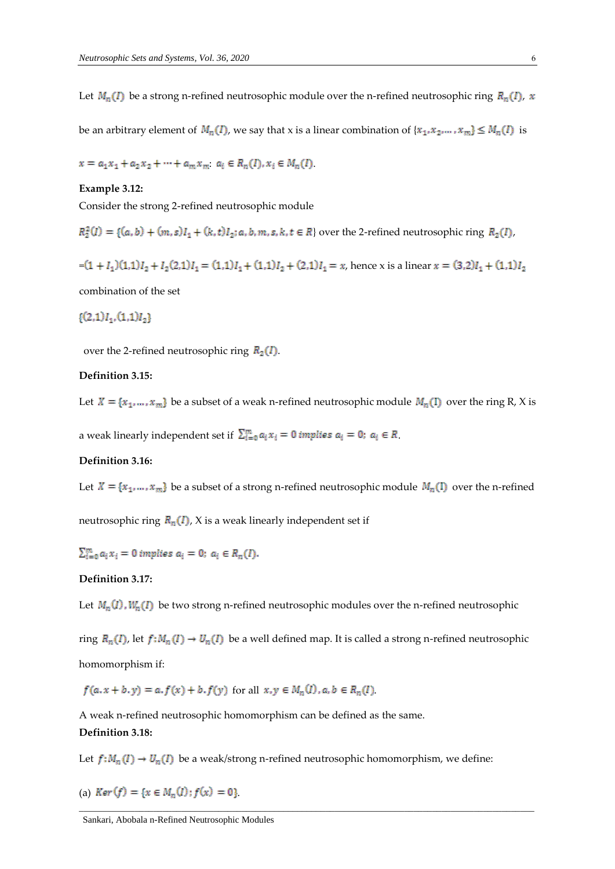Let  $M_n(I)$  be a strong n-refined neutrosophic module over the n-refined neutrosophic ring  $R_n(I)$ , x

be an arbitrary element of  $M_n(I)$ , we say that x is a linear combination of  $\{x_1, x_2, ..., x_m\} \leq M_n(I)$  is

 $x = a_1x_1 + a_2x_2 + \cdots + a_mx_m$ ,  $a_i \in R_n(I), x_i \in M_n(I)$ .

### **Example 3.12:**

Consider the strong 2-refined neutrosophic module

 $R_2^2(I) = \{(a, b) + (m, s)I_1 + (k, t)I_2; a, b, m, s, k, t \in R\}$  over the 2-refined neutrosophic ring  $R_2(I)$ ,

 $=(1 + I_1)(1,1)I_2 + I_2(2,1)I_1 = (1,1)I_1 + (1,1)I_2 + (2,1)I_1 = x$ , hence x is a linear  $x = (3,2)I_1 + (1,1)I_2$ 

combination of the set

### $\{(2,1)I_1,(1,1)I_2\}$

over the 2-refined neutrosophic ring  $R_2(I)$ .

#### **Definition 3.15:**

Let  $X = \{x_1, ..., x_m\}$  be a subset of a weak n-refined neutrosophic module  $M_n(I)$  over the ring R, X is

a weak linearly independent set if  $\sum_{i=0}^{m} a_i x_i = 0$  *implies*  $a_i = 0$ *;*  $a_i \in R$ .

### **Definition 3.16:**

Let  $X = \{x_1, ..., x_m\}$  be a subset of a strong n-refined neutrosophic module  $M_n(I)$  over the n-refined

neutrosophic ring  $R_n(I)$ , X is a weak linearly independent set if

 $\sum_{i=0}^{m} a_i x_i = 0$  implies  $a_i = 0$ ;  $a_i \in R_n(I)$ .

### **Definition 3.17:**

Let  $M_n(I)$ ,  $W_n(I)$  be two strong n-refined neutrosophic modules over the n-refined neutrosophic

ring  $R_n(I)$ , let  $f: M_n(I) \to U_n(I)$  be a well defined map. It is called a strong n-refined neutrosophic homomorphism if:

 $f(a,x+b,y)=a,f(x)+b,f(y)$  for all  $x,y\in M_n(I), a,b\in R_n(I)$ 

A weak n-refined neutrosophic homomorphism can be defined as the same.

### **Definition 3.18:**

Let  $f: M_n(I) \to U_n(I)$  be a weak/strong n-refined neutrosophic homomorphism, we define:

(a) 
$$
Ker(f) = \{x \in M_n(I) : f(x) = 0\}
$$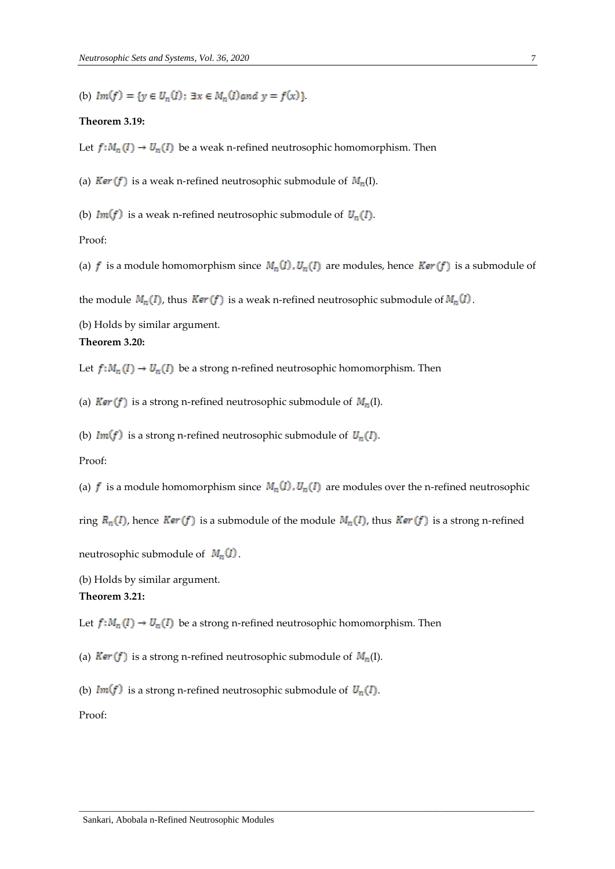(b)  $Im(f)=\{y\in U_n(I)\colon \exists x\in M_n(I) \: and \: y=f(x)\} .$ 

#### **Theorem 3.19:**

Let  $f: M_n(I) \to U_n(I)$  be a weak n-refined neutrosophic homomorphism. Then

(a)  $Ker(f)$  is a weak n-refined neutrosophic submodule of  $M_n(I)$ .

(b)  $Im(f)$  is a weak n-refined neutrosophic submodule of  $U_n(I)$ .

Proof:

(a)  $f$  is a module homomorphism since  $M_n(I)$ ,  $U_n(I)$  are modules, hence  $Ker(f)$  is a submodule of

the module  $M_n(I)$ , thus  $Ker(f)$  is a weak n-refined neutrosophic submodule of  $M_n(I)$ .

(b) Holds by similar argument.

# **Theorem 3.20:**

Let  $f: M_n(I) \to U_n(I)$  be a strong n-refined neutrosophic homomorphism. Then

(a)  $Ker(f)$  is a strong n-refined neutrosophic submodule of  $M_n(I)$ .

(b)  $Im(f)$  is a strong n-refined neutrosophic submodule of  $U_n(I)$ .

### Proof:

(a)  $f$  is a module homomorphism since  $M_n(I)$ ,  $U_n(I)$  are modules over the n-refined neutrosophic

ring  $R_n(I)$ , hence  $Ker(f)$  is a submodule of the module  $M_n(I)$ , thus  $Ker(f)$  is a strong n-refined

 $\overline{a}$  , and the set of the set of the set of the set of the set of the set of the set of the set of the set of the set of the set of the set of the set of the set of the set of the set of the set of the set of the set

neutrosophic submodule of  $M_n(I)$ .

(b) Holds by similar argument.

### **Theorem 3.21:**

Let  $f: M_n(I) \to U_n(I)$  be a strong n-refined neutrosophic homomorphism. Then

(a)  $Ker(f)$  is a strong n-refined neutrosophic submodule of  $M_n(I)$ .

(b)  $Im(f)$  is a strong n-refined neutrosophic submodule of  $U_n(I)$ .

Proof: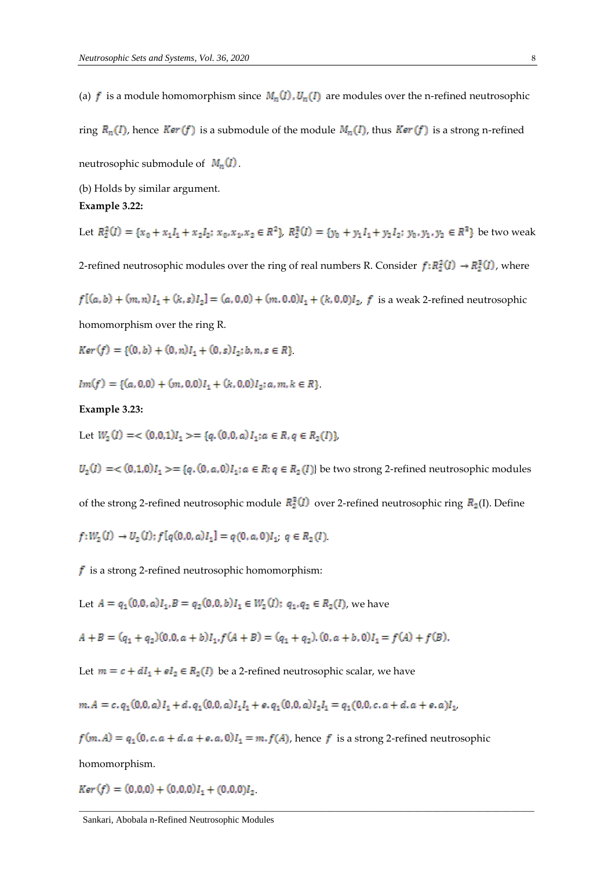(a)  $f$  is a module homomorphism since  $M_n(I)$ ,  $U_n(I)$  are modules over the n-refined neutrosophic

ring  $R_n(I)$ , hence  $Ker(f)$  is a submodule of the module  $M_n(I)$ , thus  $Ker(f)$  is a strong n-refined

neutrosophic submodule of  $M_n(I)$ .

(b) Holds by similar argument.

#### **Example 3.22:**

Let  $R_2^2(I) = \{x_0 + x_1I_1 + x_2I_2; x_0, x_1, x_2 \in R^2\}$ ,  $R_2^2(I) = \{y_0 + y_1I_1 + y_2I_2; y_0, y_1, y_2 \in R^2\}$  be two weak

2-refined neutrosophic modules over the ring of real numbers R. Consider  $f: R_2^2(I) \to R_2^2(I)$ , where

$$
f[(a, b) + (m, n)I_1 + (k, s)I_2] = (a, 0, 0) + (m, 0, 0)I_1 + (k, 0, 0)I_2
$$
, *f* is a weak 2-refined neutrosophic

homomorphism over the ring R.

 $Ker(f) = \{(0, b) + (0, n)I<sub>1</sub> + (0, s)I<sub>2</sub>; b, n, s \in R\}$ 

 $Im(f) = \{(a, 0, 0) + (m, 0, 0)I_1 + (k, 0, 0)I_2; a, m, k \in R\}$ 

### **Example 3.23:**

Let  $W_2(I) = \langle 0.0, 1 \rangle I_1 \rangle = \{q, (0.0, a)I_1; a \in R, q \in R_2(I)\}\rangle$ 

 $U_2(I) = \{ (0,1,0)I_1 \} = \{ q,(0,a,0)I_1; a \in R; q \in R_2(I) \}$  be two strong 2-refined neutrosophic modules

of the strong 2-refined neutrosophic module  $R_2^2(I)$  over 2-refined neutrosophic ring  $R_2(I)$ . Define

$$
f:W_2(I) \to U_2(I); f[q(0,0,a)I_1] = q(0,a,0)I_1; q \in R_2(I)
$$

 $\mathbf f$  is a strong 2-refined neutrosophic homomorphism:

Let 
$$
A = q_1(0, 0, a)I_1
$$
,  $B = q_2(0, 0, b)I_1 \in W_2(I)$ ;  $q_1, q_2 \in R_2(I)$ , we have

$$
A + B = (q_1 + q_2)(0, 0, a + b)I_1, f(A + B) = (q_1 + q_2), (0, a + b, 0)I_1 = f(A) + f(B).
$$

Let  $m = c + dI_1 + eI_2 \in R_2(I)$  be a 2-refined neutrosophic scalar, we have

$$
m.A = c. q1(0,0,a) I1 + d. q1(0,0,a) I1 I1 + e. q1(0,0,a) I2 I1 = q1(0,0,c.a+d.a+e.a) I1
$$

 $f(m, A) = q_1(0, c, a + d, a + e, a, 0)I_1 = m$ ,  $f(A)$ , hence f is a strong 2-refined neutrosophic homomorphism.

 $\overline{a}$  , and the set of the set of the set of the set of the set of the set of the set of the set of the set of the set of the set of the set of the set of the set of the set of the set of the set of the set of the set

 $Ker(f) = (0,0,0) + (0,0,0)I_1 + (0,0,0)I_2$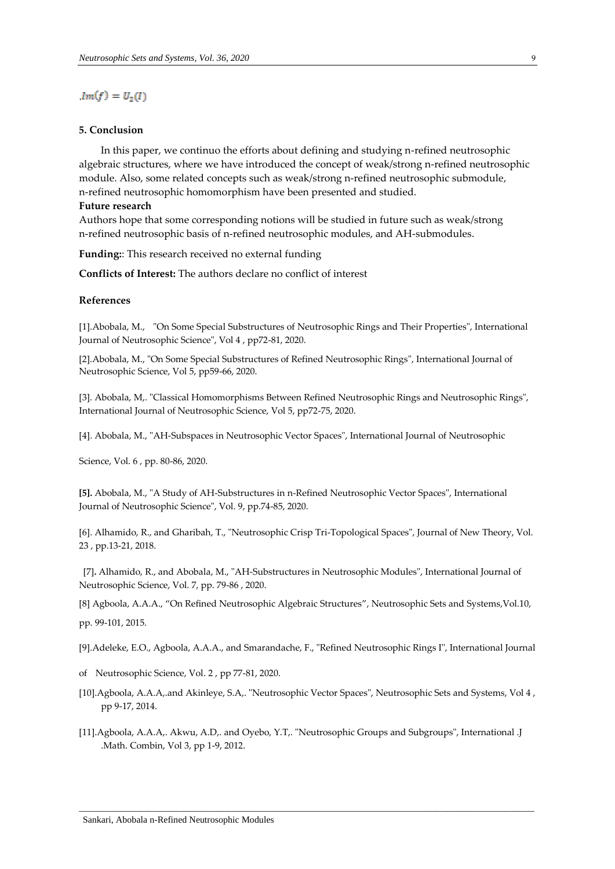### $Im(f) = U_2(I)$

### **5. Conclusion**

In this paper, we continuo the efforts about defining and studying n-refined neutrosophic algebraic structures, where we have introduced the concept of weak/strong n-refined neutrosophic module. Also, some related concepts such as weak/strong n-refined neutrosophic submodule, n-refined neutrosophic homomorphism have been presented and studied.

#### **Future research**

Authors hope that some corresponding notions will be studied in future such as weak/strong n-refined neutrosophic basis of n-refined neutrosophic modules, and AH-submodules.

**Funding:**: This research received no external funding

**Conflicts of Interest:** The authors declare no conflict of interest

#### **References**

[1].Abobala, M., "On Some Special Substructures of Neutrosophic Rings and Their Properties", International Journal of Neutrosophic Science", Vol 4 , pp72-81, 2020.

[2].Abobala, M., "On Some Special Substructures of Refined Neutrosophic Rings", International Journal of Neutrosophic Science, Vol 5, pp59-66, 2020.

[3]. Abobala, M,. "Classical Homomorphisms Between Refined Neutrosophic Rings and Neutrosophic Rings", International Journal of Neutrosophic Science, Vol 5, pp72-75, 2020.

[4]. Abobala, M., "AH-Subspaces in Neutrosophic Vector Spaces", International Journal of Neutrosophic

Science, Vol. 6 , pp. 80-86, 2020.

**[5].** Abobala, M., "A Study of AH-Substructures in n-Refined Neutrosophic Vector Spaces", International Journal of Neutrosophic Science", Vol. 9, pp.74-85, 2020.

[6]. Alhamido, R., and Gharibah, T., "Neutrosophic Crisp Tri-Topological Spaces", Journal of New Theory, Vol. 23 , pp.13-21, 2018.

[7]**.** Alhamido, R., and Abobala, M., "AH-Substructures in Neutrosophic Modules", International Journal of Neutrosophic Science, Vol. 7, pp. 79-86 , 2020.

[8] Agboola, A.A.A., "On Refined Neutrosophic Algebraic Structures", Neutrosophic Sets and Systems,Vol.10,

pp. 99-101, 2015.

[9].Adeleke, E.O., Agboola, A.A.A., and Smarandache, F., "Refined Neutrosophic Rings I", International Journal

- of Neutrosophic Science, Vol. 2 , pp 77-81, 2020.
- [10].Agboola, A.A.A,.and Akinleye, S.A,. "Neutrosophic Vector Spaces", Neutrosophic Sets and Systems, Vol 4 , pp 9-17, 2014.
- [11].Agboola, A.A.A,. Akwu, A.D,. and Oyebo, Y.T,. "Neutrosophic Groups and Subgroups", International .J .Math. Combin, Vol 3, pp 1-9, 2012.

 $\Box$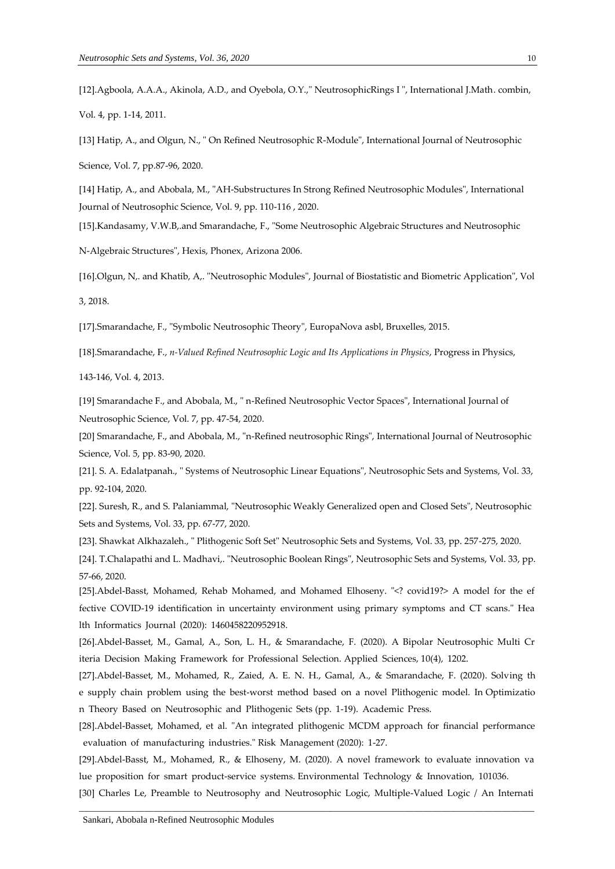[12].Agboola, A.A.A., Akinola, A.D., and Oyebola, O.Y.," NeutrosophicRings I ", International J.Math. combin, Vol. 4, pp. 1-14, 2011.

[13] Hatip, A., and Olgun, N., " On Refined Neutrosophic R-Module", International Journal of Neutrosophic

Science, Vol. 7, pp.87-96, 2020.

[14] Hatip, A., and Abobala, M., "AH-Substructures In Strong Refined Neutrosophic Modules", International Journal of Neutrosophic Science, Vol. 9, pp. 110-116 , 2020.

[15].Kandasamy, V.W.B,.and Smarandache, F., "Some Neutrosophic Algebraic Structures and Neutrosophic

N-Algebraic Structures", Hexis, Phonex, Arizona 2006.

[16].Olgun, N,. and Khatib, A,. "Neutrosophic Modules", Journal of Biostatistic and Biometric Application", Vol

3, 2018.

[17].Smarandache, F., "Symbolic Neutrosophic Theory", EuropaNova asbl, Bruxelles, 2015.

[18].Smarandache, F., *n-Valued Refined Neutrosophic Logic and Its Applications in Physics*, Progress in Physics,

143-146, Vol. 4, 2013.

[19] Smarandache F., and Abobala, M., " n-Refined Neutrosophic Vector Spaces", International Journal of Neutrosophic Science, Vol. 7, pp. 47-54, 2020.

[20] Smarandache, F., and Abobala, M., "n-Refined neutrosophic Rings", International Journal of Neutrosophic Science, Vol. 5, pp. 83-90, 2020.

[21]. S. A. Edalatpanah., " Systems of Neutrosophic Linear Equations", Neutrosophic Sets and Systems, Vol. 33, pp. 92-104, 2020.

[22]. Suresh, R., and S. Palaniammal, "Neutrosophic Weakly Generalized open and Closed Sets", Neutrosophic Sets and Systems, Vol. 33, pp. 67-77, 2020.

[23]. Shawkat Alkhazaleh., " Plithogenic Soft Set" Neutrosophic Sets and Systems, Vol. 33, pp. 257-275, 2020.

[24]. T.Chalapathi and L. Madhavi,. "Neutrosophic Boolean Rings", Neutrosophic Sets and Systems, Vol. 33, pp. 57-66, 2020.

[25].Abdel-Basst, Mohamed, Rehab Mohamed, and Mohamed Elhoseny. "<? covid19?> A model for the ef fective COVID-19 identification in uncertainty environment using primary symptoms and CT scans." Hea lth Informatics Journal (2020): 1460458220952918.

[26].Abdel-Basset, M., Gamal, A., Son, L. H., & Smarandache, F. (2020). A Bipolar Neutrosophic Multi Cr iteria Decision Making Framework for Professional Selection. Applied Sciences, 10(4), 1202.

[27].Abdel-Basset, M., Mohamed, R., Zaied, A. E. N. H., Gamal, A., & Smarandache, F. (2020). Solving th e supply chain problem using the best-worst method based on a novel Plithogenic model. In Optimizatio n Theory Based on Neutrosophic and Plithogenic Sets (pp. 1-19). Academic Press.

[28].Abdel-Basset, Mohamed, et al. "An integrated plithogenic MCDM approach for financial performance evaluation of manufacturing industries." Risk Management (2020): 1-27.

[29].Abdel-Basst, M., Mohamed, R., & Elhoseny, M. (2020). A novel framework to evaluate innovation va lue proposition for smart product-service systems. Environmental Technology & Innovation, 101036.

 $\Box$ [30] Charles Le, Preamble to Neutrosophy and Neutrosophic Logic, Multiple-Valued Logic / An Internati